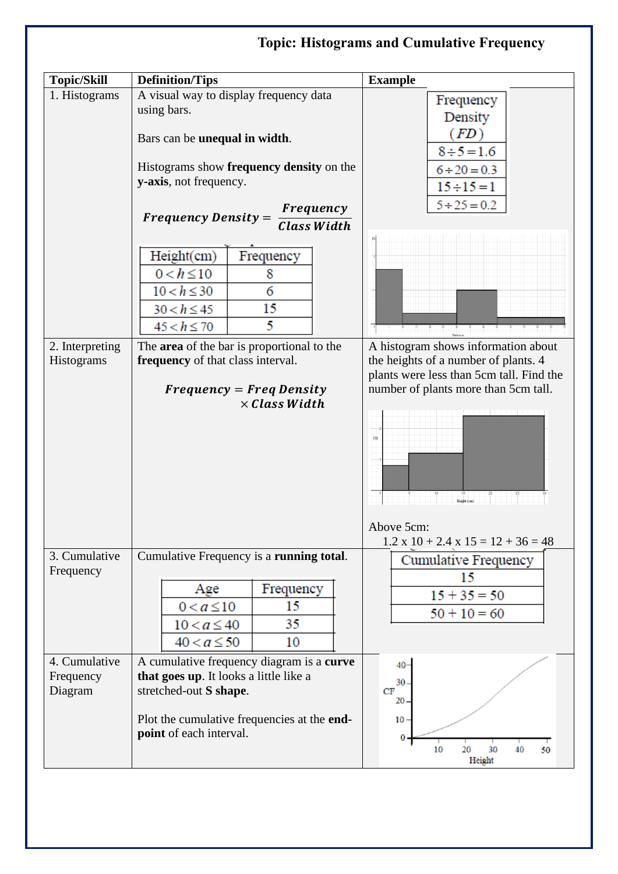## **Topic: Histograms and Cumulative FrequencyTopic/Skill Definition/Tips Example** 1. Histograms  $\vert$  A visual way to display frequency data Frequency using bars. Density  $(FD)$ Bars can be **unequal in width**.  $8 \div 5 = 1.6$ Histograms show **frequency density** on the  $6 \div 20 = 0.3$ **y-axis**, not frequency.  $15 \div 15 = 1$  $5 \div 25 = 0.2$ Frequency Frequency Density = **Class Width**  $Height(cm)$ Frequency  $0 < h \le 10$ 8  $10 < h \leq 30$  $\overline{6}$ 15  $30 < h \le 45$ 5  $45 < h \le 70$ 2. Interpreting The **area** of the bar is proportional to the A histogram shows information about **frequency** of that class interval. the heights of a number of plants. 4 Histograms plants were less than 5cm tall. Find the number of plants more than 5cm tall.  $Frequency = Freq Density$  $\times ClassWidth$  $_{\rm{FB}}$ **Height (cm)** TŤ Above 5cm:  $1.2 \times 10 + 2.4 \times 15 = 12 + 36 = 48$ Cumulative Frequency is a **running total**. 3. Cumulative Cumulative Frequency Frequency 15 Age Frequency  $15 + 35 = 50$  $0 < a \le 10$ 15  $50 + 10 = 60$ 35  $10 < a \leq 40$  $40 < a \le 50$ 10 4. Cumulative A cumulative frequency diagram is a **curve**   $40 -$ Frequency **that goes up**. It looks a little like a 30 Diagram stretched-out **S shape**.  $CF$ 20 Plot the cumulative frequencies at the **end-**10 **point** of each interval.  $\mathbf 0$ 10  $\overline{20}$  $30$ 40 50 Height